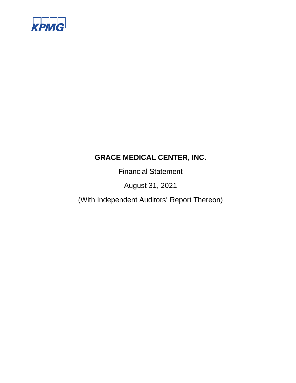

Financial Statement

August 31, 2021

(With Independent Auditors' Report Thereon)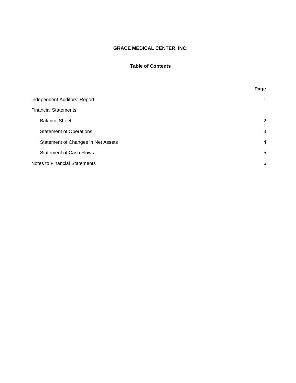# **Table of Contents**

|                                      | Page           |
|--------------------------------------|----------------|
| Independent Auditors' Report         | 1              |
| <b>Financial Statements:</b>         |                |
| <b>Balance Sheet</b>                 | 2              |
| <b>Statement of Operations</b>       | 3              |
| Statement of Changes in Net Assets   | $\overline{4}$ |
| <b>Statement of Cash Flows</b>       | 5              |
| <b>Notes to Financial Statements</b> | 6              |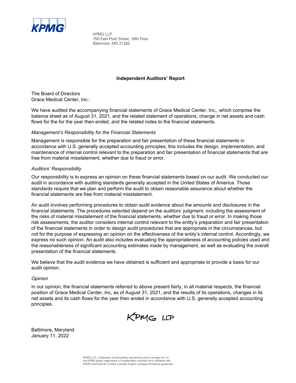

KPMG LLP 750 East Pratt Street, 18th Floor Baltimore, MD 21202

# **Independent Auditors' Report**

The Board of Directors Grace Medical Center, Inc.:

We have audited the accompanying financial statements of Grace Medical Center, Inc,, which comprise the balance sheet as of August 31, 2021, and the related statement of operations, change in net assets and cash flows for the for the year then ended, and the related notes to the financial statements.

# *Management's Responsibility for the Financial Statements*

Management is responsible for the preparation and fair presentation of these financial statements in accordance with U.S. generally accepted accounting principles; this includes the design, implementation, and maintenance of internal control relevant to the preparation and fair presentation of financial statements that are free from material misstatement, whether due to fraud or error.

# *Auditors' Responsibility*

Our responsibility is to express an opinion on these financial statements based on our audit. We conducted our audit in accordance with auditing standards generally accepted in the United States of America. Those standards require that we plan and perform the audit to obtain reasonable assurance about whether the financial statements are free from material misstatement.

An audit involves performing procedures to obtain audit evidence about the amounts and disclosures in the financial statements. The procedures selected depend on the auditors' judgment, including the assessment of the risks of material misstatement of the financial statements, whether due to fraud or error. In making those risk assessments, the auditor considers internal control relevant to the entity's preparation and fair presentation of the financial statements in order to design audit procedures that are appropriate in the circumstances, but not for the purpose of expressing an opinion on the effectiveness of the entity's internal control. Accordingly, we express no such opinion. An audit also includes evaluating the appropriateness of accounting policies used and the reasonableness of significant accounting estimates made by management, as well as evaluating the overall presentation of the financial statements.

We believe that the audit evidence we have obtained is sufficient and appropriate to provide a basis for our audit opinion.

## *Opinion*

In our opinion, the financial statements referred to above present fairly, in all material respects, the financial position of Grace Medical Center, Inc, as of August 31, 2021, and the results of its operations, changes in its net assets and its cash flows for the year then ended in accordance with U.S. generally accepted accounting principles.

KPMG LLP

Baltimore, Maryland January 11, 2022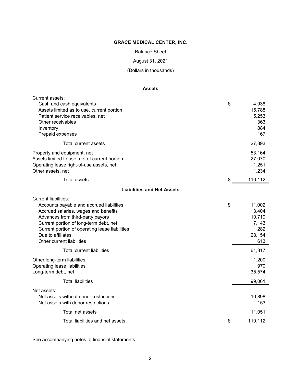Balance Sheet

# August 31, 2021

(Dollars in thousands)

# **Assets**

| Current assets:<br>Cash and cash equivalents<br>Assets limited as to use, current portion<br>Patient service receivables, net<br>Other receivables<br>Inventory                                                                                                                                   | \$<br>4,938<br>15,788<br>5,253<br>363<br>884                     |
|---------------------------------------------------------------------------------------------------------------------------------------------------------------------------------------------------------------------------------------------------------------------------------------------------|------------------------------------------------------------------|
| Prepaid expenses                                                                                                                                                                                                                                                                                  | 167                                                              |
| Total current assets                                                                                                                                                                                                                                                                              | 27,393                                                           |
| Property and equipment, net<br>Assets limited to use, net of current portion<br>Operating lease right-of-use assets, net<br>Other assets, net                                                                                                                                                     | 53,164<br>27,070<br>1,251<br>1,234                               |
| Total assets                                                                                                                                                                                                                                                                                      | \$<br>110,112                                                    |
| <b>Liabilities and Net Assets</b>                                                                                                                                                                                                                                                                 |                                                                  |
| <b>Current liabilities:</b><br>Accounts payable and accrued liabilities<br>Accrued salaries, wages and benefits<br>Advances from third-party payors<br>Current portion of long-term debt, net<br>Current portion of operating lease liabilities<br>Due to affiliates<br>Other current liabilities | \$<br>11,002<br>3,404<br>10,719<br>7,143<br>282<br>28,154<br>613 |
| <b>Total current liabilities</b>                                                                                                                                                                                                                                                                  | 61,317                                                           |
| Other long-term liabilities<br>Operating lease liabilities<br>Long-term debt, net                                                                                                                                                                                                                 | 1,200<br>970<br>35,574                                           |
| <b>Total liabilities</b>                                                                                                                                                                                                                                                                          | 99,061                                                           |
| Net assets:<br>Net assets without donor restrictions<br>Net assets with donor restrictions                                                                                                                                                                                                        | 10,898<br>153                                                    |
| Total net assets                                                                                                                                                                                                                                                                                  | 11,051                                                           |
| Total liabilities and net assets                                                                                                                                                                                                                                                                  | \$<br>110,112                                                    |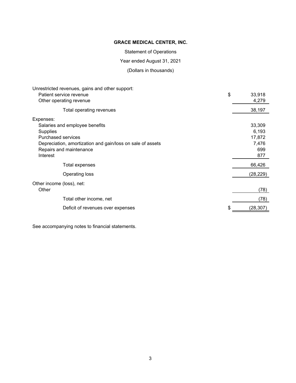Statement of Operations

Year ended August 31, 2021

(Dollars in thousands)

|                                | Unrestricted revenues, gains and other support:            |                |
|--------------------------------|------------------------------------------------------------|----------------|
| Patient service revenue        |                                                            | \$<br>33,918   |
| Other operating revenue        |                                                            | 4,279          |
|                                | Total operating revenues                                   | 38,197         |
| Expenses:                      |                                                            |                |
| Salaries and employee benefits |                                                            | 33,309         |
| Supplies                       |                                                            | 6,193          |
| <b>Purchased services</b>      |                                                            | 17,872         |
|                                | Depreciation, amortization and gain/loss on sale of assets | 7,476          |
| Repairs and maintenance        |                                                            | 699            |
| Interest                       |                                                            | 877            |
|                                | Total expenses                                             | 66,426         |
| Operating loss                 |                                                            | (28,229)       |
| Other income (loss), net:      |                                                            |                |
| Other                          |                                                            | (78)           |
|                                | Total other income, net                                    | (78)           |
|                                | Deficit of revenues over expenses                          | \$<br>(28,307) |
|                                |                                                            |                |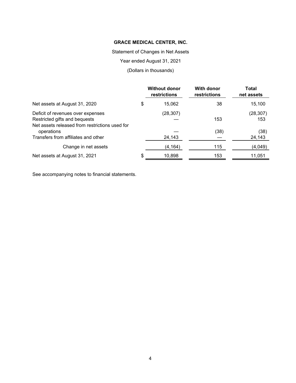Statement of Changes in Net Assets

Year ended August 31, 2021

(Dollars in thousands)

|                                                | <b>Without donor</b><br>restrictions | With donor<br>restrictions | Total<br>net assets |
|------------------------------------------------|--------------------------------------|----------------------------|---------------------|
| Net assets at August 31, 2020                  | \$<br>15,062                         | 38                         | 15,100              |
| Deficit of revenues over expenses              | (28, 307)                            |                            | (28, 307)           |
| Restricted gifts and bequests                  |                                      | 153                        | 153                 |
| Net assets released from restrictions used for |                                      |                            |                     |
| operations                                     |                                      | (38)                       | (38)                |
| Transfers from affiliates and other            | 24,143                               |                            | 24,143              |
| Change in net assets                           | (4, 164)                             | 115                        | (4,049)             |
| Net assets at August 31, 2021                  | \$<br>10,898                         | 153                        | 11,051              |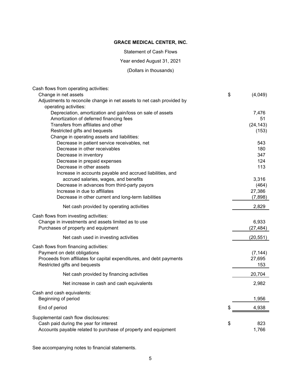Statement of Cash Flows

Year ended August 31, 2021

(Dollars in thousands)

| Cash flows from operating activities:                                 |               |
|-----------------------------------------------------------------------|---------------|
| Change in net assets                                                  | \$<br>(4,049) |
| Adjustments to reconcile change in net assets to net cash provided by |               |
| operating activities:                                                 |               |
| Depreciation, amortization and gain/loss on sale of assets            | 7,476         |
| Amortization of deferred financing fees                               | 51            |
| Transfers from affiliates and other                                   | (24, 143)     |
| Restricted gifts and bequests                                         | (153)         |
| Change in operating assets and liabilities:                           |               |
| Decrease in patient service receivables, net                          | 543           |
| Decrease in other receivables                                         | 180           |
| Decrease in inventory                                                 | 347           |
| Decrease in prepaid expenses                                          | 124           |
| Decrease in other assets                                              | 113           |
| Increase in accounts payable and accrued liabilities, and             |               |
| accrued salaries, wages, and benefits                                 | 3,316         |
| Decrease in advances from third-party payors                          | (464)         |
| Increase in due to affiliates                                         | 27,386        |
| Decrease in other current and long-term liabilities                   | (7,898)       |
| Net cash provided by operating activities                             | 2,829         |
| Cash flows from investing activities:                                 |               |
| Change in investments and assets limited as to use                    | 6,933         |
| Purchases of property and equipment                                   | (27, 484)     |
| Net cash used in investing activities                                 | (20, 551)     |
| Cash flows from financing activities:                                 |               |
| Payment on debt obligations                                           | (7, 144)      |
| Proceeds from affiliates for capital expenditures, and debt payments  | 27,695        |
| Restricted gifts and bequests                                         | 153           |
| Net cash provided by financing activities                             | 20,704        |
|                                                                       |               |
| Net increase in cash and cash equivalents                             | 2,982         |
| Cash and cash equivalents:<br>Beginning of period                     | 1,956         |
|                                                                       |               |
| End of period                                                         | \$<br>4,938   |
| Supplemental cash flow disclosures:                                   |               |
| Cash paid during the year for interest                                | \$<br>823     |
| Accounts payable related to purchase of property and equipment        | 1,766         |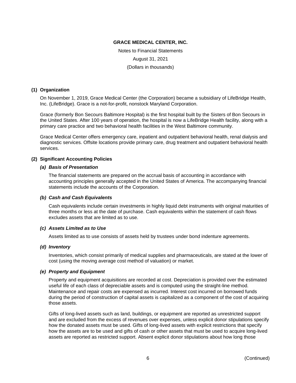Notes to Financial Statements August 31, 2021 (Dollars in thousands)

# **(1) Organization**

On November 1, 2019, Grace Medical Center (the Corporation) became a subsidiary of LifeBridge Health, Inc. (LifeBridge). Grace is a not-for-profit, nonstock Maryland Corporation.

Grace (formerly Bon Secours Baltimore Hospital) is the first hospital built by the Sisters of Bon Secours in the United States. After 100 years of operation, the hospital is now a LifeBridge Health facility, along with a primary care practice and two behavioral health facilities in the West Baltimore community.

Grace Medical Center offers emergency care, inpatient and outpatient behavioral health, renal dialysis and diagnostic services. Offsite locations provide primary care, drug treatment and outpatient behavioral health services.

## **(2) Significant Accounting Policies**

## *(a) Basis of Presentation*

The financial statements are prepared on the accrual basis of accounting in accordance with accounting principles generally accepted in the United States of America. The accompanying financial statements include the accounts of the Corporation.

## *(b) Cash and Cash Equivalents*

Cash equivalents include certain investments in highly liquid debt instruments with original maturities of three months or less at the date of purchase. Cash equivalents within the statement of cash flows excludes assets that are limited as to use.

## *(c) Assets Limited as to Use*

Assets limited as to use consists of assets held by trustees under bond indenture agreements.

## *(d) Inventory*

Inventories, which consist primarily of medical supplies and pharmaceuticals, are stated at the lower of cost (using the moving average cost method of valuation) or market.

## *(e) Property and Equipment*

Property and equipment acquisitions are recorded at cost. Depreciation is provided over the estimated useful life of each class of depreciable assets and is computed using the straight-line method. Maintenance and repair costs are expensed as incurred. Interest cost incurred on borrowed funds during the period of construction of capital assets is capitalized as a component of the cost of acquiring those assets.

Gifts of long-lived assets such as land, buildings, or equipment are reported as unrestricted support and are excluded from the excess of revenues over expenses, unless explicit donor stipulations specify how the donated assets must be used. Gifts of long-lived assets with explicit restrictions that specify how the assets are to be used and gifts of cash or other assets that must be used to acquire long-lived assets are reported as restricted support. Absent explicit donor stipulations about how long those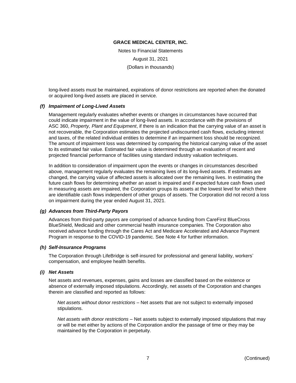Notes to Financial Statements August 31, 2021 (Dollars in thousands)

long-lived assets must be maintained, expirations of donor restrictions are reported when the donated or acquired long-lived assets are placed in service.

## *(f) Impairment of Long-Lived Assets*

Management regularly evaluates whether events or changes in circumstances have occurred that could indicate impairment in the value of long-lived assets. In accordance with the provisions of ASC 360, *Property, Plant and Equipment*, if there is an indication that the carrying value of an asset is not recoverable, the Corporation estimates the projected undiscounted cash flows, excluding interest and taxes, of the related individual entities to determine if an impairment loss should be recognized. The amount of impairment loss was determined by comparing the historical carrying value of the asset to its estimated fair value. Estimated fair value is determined through an evaluation of recent and projected financial performance of facilities using standard industry valuation techniques.

In addition to consideration of impairment upon the events or changes in circumstances described above, management regularly evaluates the remaining lives of its long-lived assets. If estimates are changed, the carrying value of affected assets is allocated over the remaining lives. In estimating the future cash flows for determining whether an asset is impaired and if expected future cash flows used in measuring assets are impaired, the Corporation groups its assets at the lowest level for which there are identifiable cash flows independent of other groups of assets. The Corporation did not record a loss on impairment during the year ended August 31, 2021.

## *(g) Advances from Third-Party Payors*

Advances from third-party payors are comprised of advance funding from CareFirst BlueCross BlueShield, Medicaid and other commercial health insurance companies. The Corporation also received advance funding through the Cares Act and Medicare Accelerated and Advance Payment Program in response to the COVID-19 pandemic. See Note 4 for further information.

## *(h) Self-Insurance Programs*

The Corporation through LifeBridge is self-insured for professional and general liability, workers' compensation, and employee health benefits.

## *(i) Net Assets*

Net assets and revenues, expenses, gains and losses are classified based on the existence or absence of externally imposed stipulations. Accordingly, net assets of the Corporation and changes therein are classified and reported as follows:

*Net assets without donor restrictions* – Net assets that are not subject to externally imposed stipulations.

*Net assets with donor restrictions* – Net assets subject to externally imposed stipulations that may or will be met either by actions of the Corporation and/or the passage of time or they may be maintained by the Corporation in perpetuity.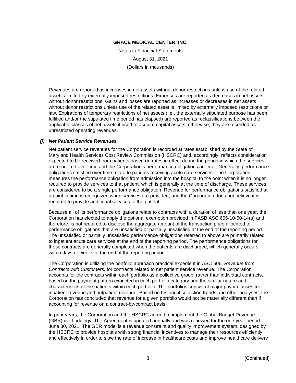Notes to Financial Statements August 31, 2021 (Dollars in thousands)

Revenues are reported as increases in net assets without donor restrictions unless use of the related asset is limited by externally imposed restrictions. Expenses are reported as decreases in net assets without donor restrictions. Gains and losses are reported as increases or decreases in net assets without donor restrictions unless use of the related asset is limited by externally imposed restrictions or law. Expirations of temporary restrictions of net assets (i.e., the externally stipulated purpose has been fulfilled and/or the stipulated time period has elapsed) are reported as reclassifications between the applicable classes of net assets if used to acquire capital assets; otherwise, they are recorded as unrestricted operating revenues.

# *(j) Net Patient Service Revenues*

Net patient service revenues for the Corporation is recorded at rates established by the State of Maryland Health Services Cost Review Commission (HSCRC) and, accordingly, reflects consideration expected to be received from patients based on rates in effect during the period in which the services are rendered over time and the Corporation's performance obligations are met. Generally, performance obligations satisfied over time relate to patients receiving acute care services. The Corporation measures the performance obligation from admission into the hospital to the point when it is no longer required to provide services to that patient, which is generally at the time of discharge. These services are considered to be a single performance obligation. Revenue for performance obligations satisfied at a point in time is recognized when services are provided, and the Corporation does not believe it is required to provide additional services to the patient.

Because all of its performance obligations relate to contracts with a duration of less than one year, the Corporation has elected to apply the optional exemption provided in FASB ASC 606-10-50-14(a) and, therefore, is not required to disclose the aggregate amount of the transaction price allocated to performance obligations that are unsatisfied or partially unsatisfied at the end of the reporting period. The unsatisfied or partially unsatisfied performance obligations referred to above are primarily related to inpatient acute care services at the end of the reporting period. The performance obligations for these contracts are generally completed when the patients are discharged, which generally occurs within days or weeks of the end of the reporting period.

The Corporation is utilizing the portfolio approach practical expedient in ASC 606, *Revenue from Contracts with Customers,* for contracts related to net patient service revenue. The Corporation accounts for the contracts within each portfolio as a collective group, rather than individual contracts, based on the payment pattern expected in each portfolio category and the similar nature and characteristics of the patients within each portfolio. The portfolios consist of major payor classes for inpatient revenue and outpatient revenue. Based on historical collection trends and other analyses, the Corporation has concluded that revenue for a given portfolio would not be materially different than if accounting for revenue on a contract-by-contract basis.

In prior years, the Corporation and the HSCRC agreed to implement the Global Budget Revenue (GBR) methodology. The Agreement is updated annually and was renewed for the one-year period June 30, 2021. The GBR model is a revenue constraint and quality improvement system, designed by the HSCRC to provide hospitals with strong financial incentives to manage their resources efficiently and effectively in order to slow the rate of increase in healthcare costs and improve healthcare delivery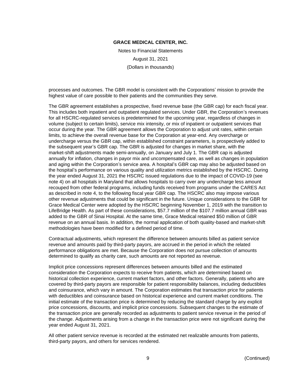Notes to Financial Statements August 31, 2021 (Dollars in thousands)

processes and outcomes. The GBR model is consistent with the Corporations' mission to provide the highest value of care possible to their patients and the communities they serve.

The GBR agreement establishes a prospective, fixed revenue base (the GBR cap) for each fiscal year. This includes both inpatient and outpatient regulated services. Under GBR, the Corporation's revenues for all HSCRC-regulated services is predetermined for the upcoming year, regardless of changes in volume (subject to certain limits), service mix intensity, or mix of inpatient or outpatient services that occur during the year. The GBR agreement allows the Corporation to adjust unit rates, within certain limits, to achieve the overall revenue base for the Corporation at year-end. Any overcharge or undercharge versus the GBR cap, within established constraint parameters, is prospectively added to the subsequent year's GBR cap. The GBR is adjusted for changes in market share, with the market-shift adjustments made semi-annually, on January and July 1. The GBR cap is adjusted annually for inflation, changes in payor mix and uncompensated care, as well as changes in population and aging within the Corporation's service area. A hospital's GBR cap may also be adjusted based on the hospital's performance on various quality and utilization metrics established by the HSCRC. During the year ended August 31, 2021 the HSCRC issued regulations due to the impact of COVID-19 (see note 4) on all hospitals in Maryland that allows hospitals to carry over any undercharge less amount recouped from other federal programs, including funds received from programs under the CARES Act as described in note 4, to the following fiscal year GBR cap. The HSCRC also may impose various other revenue adjustments that could be significant in the future. Unique considerations to the GBR for Grace Medical Center were adopted by the HSCRC beginning November 1, 2019 with the transition to LifeBridge Health. As part of these considerations, \$57.7 million of the \$107.7 million annual GBR was added to the GBR of Sinai Hospital. At the same time, Grace Medical retained \$50 million of GBR revenue on an annual basis. In addition, the normal application of both quality-based and market-shift methodologies have been modified for a defined period of time.

Contractual adjustments, which represent the difference between amounts billed as patient service revenue and amounts paid by third-party payors, are accrued in the period in which the related performance obligations are met. Because the Corporation does not pursue collection of amounts determined to qualify as charity care, such amounts are not reported as revenue.

Implicit price concessions represent differences between amounts billed and the estimated consideration the Corporation expects to receive from patients, which are determined based on historical collection experience, current market factors, and other factors. Generally, patients who are covered by third-party payors are responsible for patient responsibility balances, including deductibles and coinsurance, which vary in amount. The Corporation estimates that transaction price for patients with deductibles and coinsurance based on historical experience and current market conditions. The initial estimate of the transaction price is determined by reducing the standard charge by any explicit price concessions, discounts, and implicit price concessions. Subsequent changes to the estimate of the transaction price are generally recorded as adjustments to patient service revenue in the period of the change. Adjustments arising from a change in the transaction price were not significant during the year ended August 31, 2021.

All other patient service revenue is recorded at the estimated net realizable amounts from patients, third-party payors, and others for services rendered.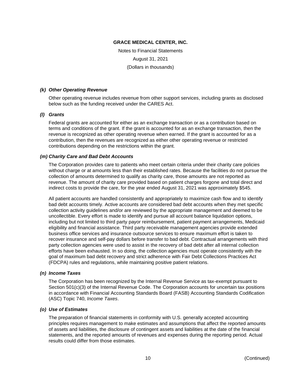Notes to Financial Statements August 31, 2021 (Dollars in thousands)

## *(k) Other Operating Revenue*

Other operating revenue includes revenue from other support services, including grants as disclosed below such as the funding received under the CARES Act.

# *(l) Grants*

Federal grants are accounted for either as an exchange transaction or as a contribution based on terms and conditions of the grant. If the grant is accounted for as an exchange transaction, then the revenue is recognized as other operating revenue when earned. If the grant is accounted for as a contribution, then the revenues are recognized as either other operating revenue or restricted contributions depending on the restrictions within the grant.

## *(m) Charity Care and Bad Debt Accounts*

The Corporation provides care to patients who meet certain criteria under their charity care policies without charge or at amounts less than their established rates. Because the facilities do not pursue the collection of amounts determined to qualify as charity care, those amounts are not reported as revenue. The amount of charity care provided based on patient charges forgone and total direct and indirect costs to provide the care, for the year ended August 31, 2021 was approximately \$545.

All patient accounts are handled consistently and appropriately to maximize cash flow and to identify bad debt accounts timely. Active accounts are considered bad debt accounts when they met specific collection activity guidelines and/or are reviewed by the appropriate management and deemed to be uncollectible. Every effort is made to identify and pursue all account balance liquidation options, including but not limited to third party payor reimbursement, patient payment arrangements, Medicaid eligibility and financial assistance. Third party receivable management agencies provide extended business office services and insurance outsource services to ensure maximum effort is taken to recover insurance and self-pay dollars before transfer to bad debt. Contractual arrangements with third party collection agencies were used to assist in the recovery of bad debt after all internal collection efforts have been exhausted. In so doing, the collection agencies must operate consistently with the goal of maximum bad debt recovery and strict adherence with Fair Debt Collections Practices Act (FDCPA) rules and regulations, while maintaining positive patient relations.

## *(n) Income Taxes*

The Corporation has been recognized by the Internal Revenue Service as tax-exempt pursuant to Section 501(c)(3) of the Internal Revenue Code. The Corporation accounts for uncertain tax positions in accordance with Financial Accounting Standards Board (FASB) Accounting Standards Codification (ASC) Topic 740, *Income Taxes*.

## *(o) Use of Estimates*

The preparation of financial statements in conformity with U.S. generally accepted accounting principles requires management to make estimates and assumptions that affect the reported amounts of assets and liabilities, the disclosure of contingent assets and liabilities at the date of the financial statements, and the reported amounts of revenues and expenses during the reporting period. Actual results could differ from those estimates.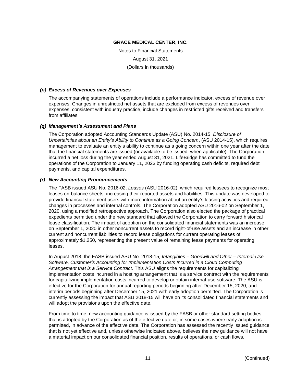Notes to Financial Statements August 31, 2021 (Dollars in thousands)

## *(p) Excess of Revenues over Expenses*

The accompanying statements of operations include a performance indicator, excess of revenue over expenses. Changes in unrestricted net assets that are excluded from excess of revenues over expenses, consistent with industry practice, include changes in restricted gifts received and transfers from affiliates.

# *(q) Management's Assessment and Plans*

The Corporation adopted Accounting Standards Update (ASU) No. 2014-15, *Disclosure of Uncertainties about an Entity's Ability to Continue as a Going Concern*, (ASU 2014-15), which requires management to evaluate an entity's ability to continue as a going concern within one year after the date that the financial statements are issued (or available to be issued, when applicable). The Corporation incurred a net loss during the year ended August 31, 2021. LifeBridge has committed to fund the operations of the Corporation to January 11, 2023 by funding operating cash deficits, required debt payments, and capital expenditures.

# *(r) New Accounting Pronouncements*

The FASB issued ASU No. 2016-02, *Leases* (ASU 2016-02), which required lessees to recognize most leases on-balance sheets, increasing their reported assets and liabilities. This update was developed to provide financial statement users with more information about an entity's leasing activities and required changes in processes and internal controls. The Corporation adopted ASU 2016-02 on September 1, 2020, using a modified retrospective approach. The Corporation also elected the package of practical expedients permitted under the new standard that allowed the Corporation to carry forward historical lease classification. The impact of adoption on the consolidated financial statements was an increase on September 1, 2020 in other noncurrent assets to record right-of-use assets and an increase in other current and noncurrent liabilities to record lease obligations for current operating leases of approximately \$1,250, representing the present value of remaining lease payments for operating leases.

In August 2018, the FASB issued ASU No. 2018-15*, Intangibles – Goodwill and Other – Internal-Use Software, Customer's Accounting for Implementation Costs Incurred in a Cloud Computing Arrangement that is a Service Contract.* This ASU aligns the requirements for capitalizing implementation costs incurred in a hosting arrangement that is a service contract with the requirements for capitalizing implementation costs incurred to develop or obtain internal-use software. The ASU is effective for the Corporation for annual reporting periods beginning after December 15, 2020, and interim periods beginning after December 15, 2021 with early adoption permitted. The Corporation is currently assessing the impact that ASU 2018-15 will have on its consolidated financial statements and will adopt the provisions upon the effective date.

From time to time, new accounting guidance is issued by the FASB or other standard setting bodies that is adopted by the Corporation as of the effective date or, in some cases where early adoption is permitted, in advance of the effective date. The Corporation has assessed the recently issued guidance that is not yet effective and, unless otherwise indicated above, believes the new guidance will not have a material impact on our consolidated financial position, results of operations, or cash flows.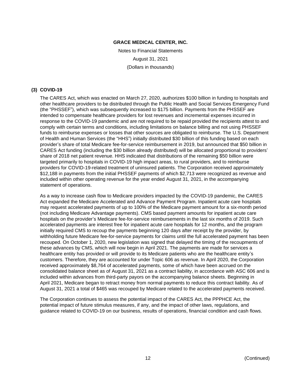Notes to Financial Statements August 31, 2021 (Dollars in thousands)

# **(3) COVID-19**

The CARES Act, which was enacted on March 27, 2020, authorizes \$100 billion in funding to hospitals and other healthcare providers to be distributed through the Public Health and Social Services Emergency Fund (the "PHSSEF"), which was subsequently increased to \$175 billion. Payments from the PHSSEF are intended to compensate healthcare providers for lost revenues and incremental expenses incurred in response to the COVID-19 pandemic and are not required to be repaid provided the recipients attest to and comply with certain terms and conditions, including limitations on balance billing and not using PHSSEF funds to reimburse expenses or losses that other sources are obligated to reimburse. The U.S. Department of Health and Human Services (the "HHS") initially distributed \$30 billion of this funding based on each provider's share of total Medicare fee-for-service reimbursement in 2019, but announced that \$50 billion in CARES Act funding (including the \$30 billion already distributed) will be allocated proportional to providers' share of 2018 net patient revenue. HHS indicated that distributions of the remaining \$50 billion were targeted primarily to hospitals in COVID-19 high impact areas, to rural providers, and to reimburse providers for COVID-19-related treatment of uninsured patients. The Corporation received approximately \$12,188 in payments from the initial PHSSEF payments of which \$2,713 were recognized as revenue and included within other operating revenue for the year ended August 31, 2021, in the accompanying statement of operations.

As a way to increase cash flow to Medicare providers impacted by the COVID-19 pandemic, the CARES Act expanded the Medicare Accelerated and Advance Payment Program. Inpatient acute care hospitals may request accelerated payments of up to 100% of the Medicare payment amount for a six-month period (not including Medicare Advantage payments). CMS based payment amounts for inpatient acute care hospitals on the provider's Medicare fee-for-service reimbursements in the last six months of 2019. Such accelerated payments are interest free for inpatient acute care hospitals for 12 months, and the program initially required CMS to recoup the payments beginning 120 days after receipt by the provider, by withholding future Medicare fee-for-service payments for claims until the full accelerated payment has been recouped. On October 1, 2020, new legislation was signed that delayed the timing of the recoupments of these advances by CMS, which will now begin in April 2021. The payments are made for services a healthcare entity has provided or will provide to its Medicare patients who are the healthcare entity's customers. Therefore, they are accounted for under Topic 606 as revenue. In April 2020, the Corporation received approximately \$8,764 of accelerated payments, some of which have been accrued on the consolidated balance sheet as of August 31, 2021 as a contract liability, in accordance with ASC 606 and is included within advances from third-party payors on the accompanying balance sheets. Beginning in April 2021, Medicare began to retract money from normal payments to reduce this contract liability. As of August 31, 2021 a total of \$465 was recouped by Medicare related to the accelerated payments received.

The Corporation continues to assess the potential impact of the CARES Act, the PPPHCE Act, the potential impact of future stimulus measures, if any, and the impact of other laws, regulations, and guidance related to COVID-19 on our business, results of operations, financial condition and cash flows.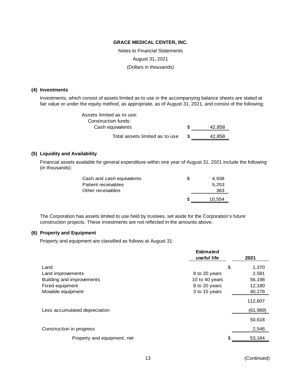Notes to Financial Statements August 31, 2021 (Dollars in thousands)

#### **(4) Investments**

Investments, which consist of assets limited as to use in the accompanying balance sheets are stated at fair value or under the equity method, as appropriate, as of August 31, 2021, and consist of the following:

| Assets limited as to use:      |              |
|--------------------------------|--------------|
| Construction funds:            |              |
| Cash equivalents               | \$<br>42.858 |
| Total assets limited as to use | 42.858       |

#### **(5) Liquidity and Availability**

Financial assets available for general expenditure within one year of August 31, 2021 include the following (in thousands):

| Cash and cash equivalents | S | 4.938  |
|---------------------------|---|--------|
| Patient receivables       |   | 5.253  |
| Other receivables         |   | 363    |
|                           | S | 10.554 |

The Corporation has assets limited to use held by trustees, set aside for the Corporation's future construction projects. These investments are not reflected in the amounts above.

#### **(6) Property and Equipment**

Property and equipment are classified as follows at August 31:

|                               | <b>Estimated</b> |              |
|-------------------------------|------------------|--------------|
|                               | useful life      | 2021         |
| Land                          |                  | \$<br>1,370  |
| Land improvements             | 8 to 20 years    | 2,581        |
| Building and improvements     | 10 to 40 years   | 56,198       |
| Fixed equipment               | 8 to 20 years    | 12,180       |
| Movable equipment             | 3 to 15 years    | 40,278       |
|                               |                  | 112,607      |
| Less accumulated depreciation |                  | (61, 989)    |
|                               |                  | 50,618       |
| Construction in progress      |                  | 2,546        |
| Property and equipment, net   |                  | \$<br>53,164 |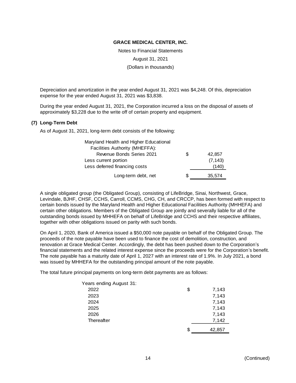Notes to Financial Statements August 31, 2021

(Dollars in thousands)

Depreciation and amortization in the year ended August 31, 2021 was \$4,248. Of this, depreciation expense for the year ended August 31, 2021 was \$3,838.

During the year ended August 31, 2021, the Corporation incurred a loss on the disposal of assets of approximately \$3,228 due to the write off of certain property and equipment.

## **(7) Long-Term Debt**

As of August 31, 2021, long-term debt consists of the following:

| Maryland Health and Higher Educational |   |          |
|----------------------------------------|---|----------|
| Facilities Authority (MHEFFA):         |   |          |
| Revenue Bonds Series 2021              | S | 42,857   |
| Less current portion                   |   | (7, 143) |
| Less deferred financing costs          |   | (140)    |
| Long-term debt, net                    | S | 35.574   |

A single obligated group (the Obligated Group), consisting of LifeBridge, Sinai, Northwest, Grace, Levindale, BJHF, CHSF, CCHS, Carroll, CCMS, CHG, CH, and CRCCP, has been formed with respect to certain bonds issued by the Maryland Health and Higher Educational Facilities Authority (MHHEFA) and certain other obligations. Members of the Obligated Group are jointly and severally liable for all of the outstanding bonds issued by MHHEFA on behalf of LifeBridge and CCHS and their respective affiliates, together with other obligations issued on parity with such bonds.

On April 1, 2020, Bank of America issued a \$50,000 note payable on behalf of the Obligated Group. The proceeds of the note payable have been used to finance the cost of demolition, construction, and renovation at Grace Medical Center. Accordingly, the debt has been pushed down to the Corporation's financial statements and the related interest expense since the proceeds were for the Corporation's benefit. The note payable has a maturity date of April 1, 2027 with an interest rate of 1.9%. In July 2021, a bond was issued by MHHEFA for the outstanding principal amount of the note payable.

The total future principal payments on long-term debt payments are as follows:

| Years ending August 31: |              |
|-------------------------|--------------|
| 2022                    | \$<br>7,143  |
| 2023                    | 7,143        |
| 2024                    | 7,143        |
| 2025                    | 7,143        |
| 2026                    | 7,143        |
| Thereafter              | 7,142        |
|                         | \$<br>42,857 |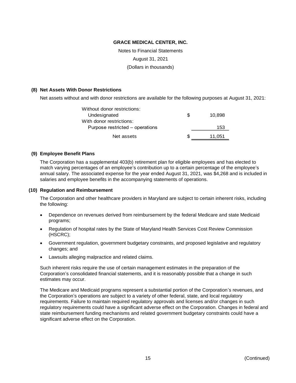Notes to Financial Statements

August 31, 2021

(Dollars in thousands)

## **(8) Net Assets With Donor Restrictions**

Net assets without and with donor restrictions are available for the following purposes at August 31, 2021:

| Without donor restrictions:     |    |        |
|---------------------------------|----|--------|
| Undesignated                    | S  | 10.898 |
| With donor restrictions:        |    |        |
| Purpose restricted – operations |    | 153    |
| Net assets                      | ß. | 11,051 |

# **(9) Employee Benefit Plans**

The Corporation has a supplemental 403(b) retirement plan for eligible employees and has elected to match varying percentages of an employee's contribution up to a certain percentage of the employee's annual salary. The associated expense for the year ended August 31, 2021, was \$4,268 and is included in salaries and employee benefits in the accompanying statements of operations.

## **(10) Regulation and Reimbursement**

The Corporation and other healthcare providers in Maryland are subject to certain inherent risks, including the following:

- Dependence on revenues derived from reimbursement by the federal Medicare and state Medicaid programs;
- Regulation of hospital rates by the State of Maryland Health Services Cost Review Commission (HSCRC);
- Government regulation, government budgetary constraints, and proposed legislative and regulatory changes; and
- Lawsuits alleging malpractice and related claims.

Such inherent risks require the use of certain management estimates in the preparation of the Corporation's consolidated financial statements, and it is reasonably possible that a change in such estimates may occur.

The Medicare and Medicaid programs represent a substantial portion of the Corporation's revenues, and the Corporation's operations are subject to a variety of other federal, state, and local regulatory requirements. Failure to maintain required regulatory approvals and licenses and/or changes in such regulatory requirements could have a significant adverse effect on the Corporation. Changes in federal and state reimbursement funding mechanisms and related government budgetary constraints could have a significant adverse effect on the Corporation.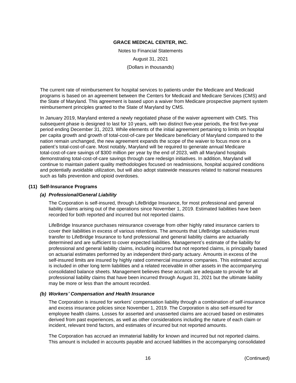Notes to Financial Statements August 31, 2021 (Dollars in thousands)

The current rate of reimbursement for hospital services to patients under the Medicare and Medicaid programs is based on an agreement between the Centers for Medicaid and Medicare Services (CMS) and the State of Maryland. This agreement is based upon a waiver from Medicare prospective payment system reimbursement principles granted to the State of Maryland by CMS.

In January 2019, Maryland entered a newly negotiated phase of the waiver agreement with CMS. This subsequent phase is designed to last for 10 years, with two distinct five-year periods, the first five-year period ending December 31, 2023. While elements of the initial agreement pertaining to limits on hospital per capita growth and growth of total-cost-of-care per Medicare beneficiary of Maryland compared to the nation remain unchanged, the new agreement expands the scope of the waiver to focus more on a patient's total-cost-of-care. Most notably, Maryland will be required to generate annual Medicare total-cost-of-care savings of \$300 million per year by the end of 2023, with all Maryland hospitals demonstrating total-cost-of-care savings through care redesign initiatives. In addition, Maryland will continue to maintain patient quality methodologies focused on readmissions, hospital acquired conditions and potentially avoidable utilization, but will also adopt statewide measures related to national measures such as falls prevention and opioid overdoses.

# **(11) Self-Insurance Programs**

## *(a) Professional/General Liability*

The Corporation is self-insured, through LifeBridge Insurance, for most professional and general liability claims arising out of the operations since November 1, 2019. Estimated liabilities have been recorded for both reported and incurred but not reported claims.

LifeBridge Insurance purchases reinsurance coverage from other highly rated insurance carriers to cover their liabilities in excess of various retentions. The amounts that LifeBridge subsidiaries must transfer to LifeBridge Insurance to fund professional and general liability claims are actuarially determined and are sufficient to cover expected liabilities. Management's estimate of the liability for professional and general liability claims, including incurred but not reported claims, is principally based on actuarial estimates performed by an independent third-party actuary. Amounts in excess of the self-insured limits are insured by highly rated commercial insurance companies. This estimated accrual is included in other long term liabilities and a related receivable in other assets in the accompanying consolidated balance sheets. Management believes these accruals are adequate to provide for all professional liability claims that have been incurred through August 31, 2021 but the ultimate liability may be more or less than the amount recorded.

## *(b) Workers' Compensation and Health Insurance*

The Corporation is insured for workers' compensation liability through a combination of self-insurance and excess insurance policies since November 1, 2019. The Corporation is also self-insured for employee health claims. Losses for asserted and unasserted claims are accrued based on estimates derived from past experiences, as well as other considerations including the nature of each claim or incident, relevant trend factors, and estimates of incurred but not reported amounts.

The Corporation has accrued an immaterial liability for known and incurred but not reported claims. This amount is included in accounts payable and accrued liabilities in the accompanying consolidated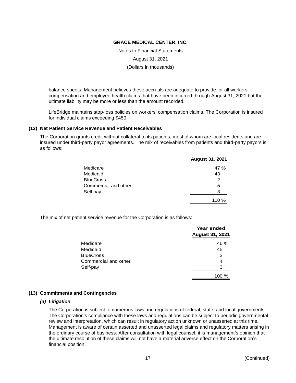Notes to Financial Statements

August 31, 2021

(Dollars in thousands)

balance sheets. Management believes these accruals are adequate to provide for all workers' compensation and employee health claims that have been incurred through August 31, 2021 but the ultimate liability may be more or less than the amount recorded.

LifeBridge maintains stop-loss policies on workers' compensation claims. The Corporation is insured for individual claims exceeding \$450.

#### **(12) Net Patient Service Revenue and Patient Receivables**

The Corporation grants credit without collateral to its patients, most of whom are local residents and are insured under third-party payor agreements. The mix of receivables from patients and third-party payors is as follows:

|                      | <b>August 31, 2021</b> |
|----------------------|------------------------|
| Medicare             | 47 %                   |
| Medicaid             | 43                     |
| <b>BlueCross</b>     | 2                      |
| Commercial and other | 5                      |
| Self-pay             | 3                      |
|                      | 100 %                  |

The mix of net patient service revenue for the Corporation is as follows:

|                      | Year ended<br><b>August 31, 2021</b> |  |  |
|----------------------|--------------------------------------|--|--|
| Medicare             | 46 %                                 |  |  |
| Medicaid             | 45                                   |  |  |
| <b>BlueCross</b>     | 2                                    |  |  |
| Commercial and other | 4                                    |  |  |
| Self-pay             | 3                                    |  |  |
|                      | 100 %                                |  |  |

## **(13) Commitments and Contingencies**

## *(a) Litigation*

The Corporation is subject to numerous laws and regulations of federal, state, and local governments. The Corporation's compliance with these laws and regulations can be subject to periodic governmental review and interpretation, which can result in regulatory action unknown or unasserted at this time. Management is aware of certain asserted and unasserted legal claims and regulatory matters arising in the ordinary course of business. After consultation with legal counsel, it is management's opinion that the ultimate resolution of these claims will not have a material adverse effect on the Corporation's financial position.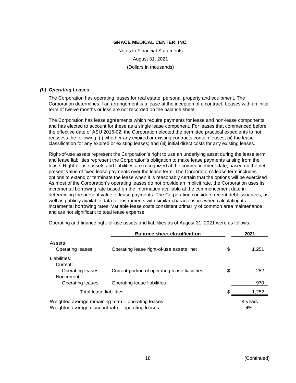Notes to Financial Statements August 31, 2021 (Dollars in thousands)

## *(b) Operating Leases*

The Corporation has operating leases for real estate, personal property and equipment. The Corporation determines if an arrangement is a lease at the inception of a contract. Leases with an initial term of twelve months or less are not recorded on the balance sheet.

The Corporation has lease agreements which require payments for lease and non-lease components and has elected to account for these as a single lease component. For leases that commenced before the effective date of ASU 2016-02, the Corporation elected the permitted practical expedients to not reassess the following: (i) whether any expired or existing contracts contain leases; (ii) the lease classification for any expired or existing leases; and (iii) initial direct costs for any existing leases.

Right-of-use assets represent the Corporation's right to use an underlying asset during the lease term, and lease liabilities represent the Corporation's obligation to make lease payments arising from the lease. Right-of-use assets and liabilities are recognized at the commencement date, based on the net present value of fixed lease payments over the lease term. The Corporation's lease term includes options to extend or terminate the lease when it is reasonably certain that the options will be exercised. As most of the Corporation's operating leases do not provide an implicit rate, the Corporation uses its incremental borrowing rate based on the information available at the commencement date in determining the present value of lease payments. The Corporation considers recent debt issuances, as well as publicly available data for instruments with similar characteristics when calculating its incremental borrowing rates. Variable lease costs consistent primarily of common area maintenance and are not significant to total lease expense.

| <b>Balance sheet classification</b> |                                                    | 2021 |         |
|-------------------------------------|----------------------------------------------------|------|---------|
| Assets:                             |                                                    |      |         |
| Operating leases                    | Operating lease right-of-use assets, net           | \$   | 1,251   |
| Liabilities:                        |                                                    |      |         |
| Current:                            |                                                    |      |         |
| Operating leases                    | Current portion of operating lease liabilities     | \$   | 282     |
| Noncurrent:                         |                                                    |      |         |
| Operating leases                    | Operating lease liabilities                        |      | 970     |
| Total lease liabilities             |                                                    |      | 1,252   |
|                                     | Weighted average remaining term - operating leases |      | 4 years |
|                                     | Weighted average discount rate – operating leases  |      | 4%      |

Operating and finance right-of-use assets and liabilities as of August 31, 2021 were as follows: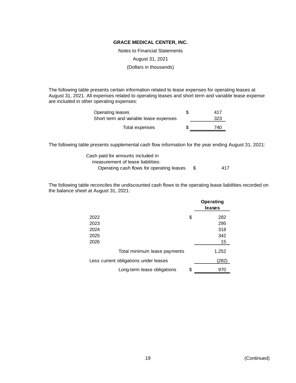Notes to Financial Statements

August 31, 2021

(Dollars in thousands)

The following table presents certain information related to lease expenses for operating leases at August 31, 2021. All expenses related to operating leases and short term and variable lease expense are included in other operating expenses:

| Operating leases                       | S | 417 |
|----------------------------------------|---|-----|
| Short term and variable lease expenses |   | 323 |
| Total expenses                         | S | 740 |

The following table presents supplemental cash flow information for the year ending August 31, 2021:

| Cash paid for amounts included in         |     |
|-------------------------------------------|-----|
| measurement of lease liabilities:         |     |
| Operating cash flows for operating leases | 417 |

The following table reconciles the undiscounted cash flows to the operating lease liabilities recorded on the balance sheet at August 31, 2021:

|                                       | <b>Operating</b><br>leases |
|---------------------------------------|----------------------------|
| 2022                                  | \$<br>282                  |
| 2023                                  | 295                        |
| 2024                                  | 318                        |
| 2025                                  | 342                        |
| 2026                                  | 15                         |
| Total minimum lease payments          | 1,252                      |
| Less current obligations under leases | (282)                      |
| Long-term lease obligations           | \$<br>970                  |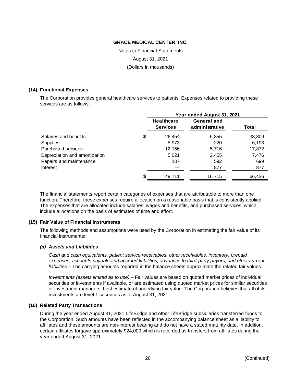Notes to Financial Statements

August 31, 2021

(Dollars in thousands)

# **(14) Functional Expenses**

The Corporation provides general healthcare services to patients. Expenses related to providing these services are as follows:

|                               | Year ended August 31, 2021           |                                      |        |  |
|-------------------------------|--------------------------------------|--------------------------------------|--------|--|
|                               | <b>Healthcare</b><br><b>Services</b> | <b>General and</b><br>administrative | Total  |  |
| Salaries and benefits         | \$<br>26.454                         | 6,855                                | 33,309 |  |
| Supplies                      | 5,973                                | 220                                  | 6,193  |  |
| <b>Purchased services</b>     | 12,156                               | 5,716                                | 17,872 |  |
| Depreciation and amortization | 5,021                                | 2,455                                | 7,476  |  |
| Repairs and maintenance       | 107                                  | 592                                  | 699    |  |
| <b>Interest</b>               |                                      | 877                                  | 877    |  |
|                               | \$<br>49.711                         | 16,715                               | 66.426 |  |

The financial statements report certain categories of expenses that are attributable to more than one function. Therefore, these expenses require allocation on a reasonable basis that is consistently applied. The expenses that are allocated include salaries, wages and benefits, and purchased services, which include allocations on the basis of estimates of time and effort.

## **(15) Fair Value of Financial Instruments**

The following methods and assumptions were used by the Corporation in estimating the fair value of its financial instruments:

## *(a) Assets and Liabilities*

*Cash and cash equivalents, patient service receivables, other receivables, inventory, prepaid expenses, accounts payable and accrued liabilities, advances to third-party payors, and other current liabilities* – The carrying amounts reported in the balance sheets approximate the related fair values.

*Investments (assets limited as to use)* – Fair values are based on quoted market prices of individual securities or investments if available, or are estimated using quoted market prices for similar securities or investment managers' best estimate of underlying fair value. The Corporation believes that all of its investments are level 1 securities as of August 31, 2021.

# **(16) Related Party Transactions**

During the year ended August 31, 2021 LifeBridge and other LifeBridge subsidiaries transferred funds to the Corporation. Such amounts have been reflected in the accompanying balance sheet as a liability to affiliates and these amounts are non-interest bearing and do not have a stated maturity date. In addition, certain affiliates forgave approximately \$24,000 which is recorded as transfers from affiliates during the year ended August 31, 2021.